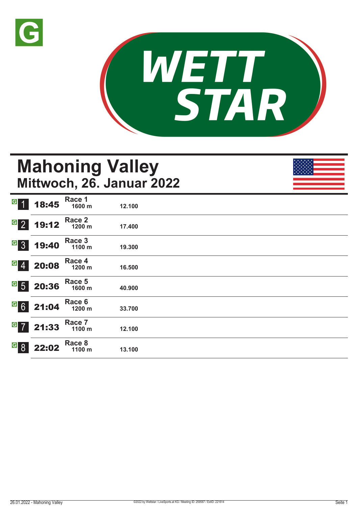



## **Mahoning Valley Mittwoch, 26. Januar 2022**

| $\vert G \vert$               | 18:45 | Race 1<br>1600 m | 12.100 |
|-------------------------------|-------|------------------|--------|
| $G$ 2                         | 19:12 | Race 2<br>1200 m | 17.400 |
| $\overline{G}$ 3              | 19:40 | Race 3<br>1100 m | 19.300 |
| $G$ 4                         | 20:08 | Race 4<br>1200 m | 16.500 |
| $\frac{G}{5}$                 | 20:36 | Race 5<br>1600 m | 40.900 |
| $G$ 6                         | 21:04 | Race 6<br>1200 m | 33.700 |
| $\boxed{G}$<br>$\overline{7}$ | 21:33 | Race 7<br>1100 m | 12.100 |
| $\vert G \vert$<br>8          | 22:02 | Race 8<br>1100 m | 13.100 |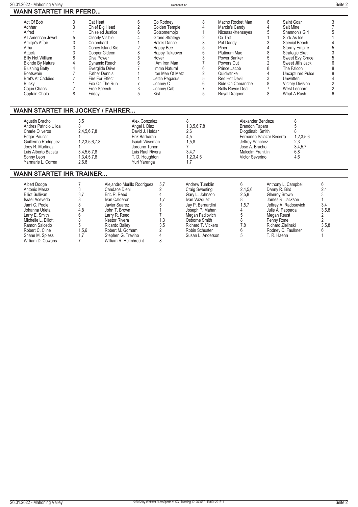| 26.01.2022<br>? - Mahoning Vallev | Rennen # 12 | Seite 2 |
|-----------------------------------|-------------|---------|
| <b>WANN STARTET IHR PFERD</b>     |             |         |

| Act Of Bob               | Cat Heat             | Go Rodney             | Macho Rocket Man   | Saint Goar              |  |
|--------------------------|----------------------|-----------------------|--------------------|-------------------------|--|
| Adhhar                   | Chief Big Head       | Golden Temple         | Marcie's Candy     | Salt Mine               |  |
| Alfred                   | Chiseled Justice     | Gotsomemojo           | Niceasakittenseyes | Shannon's Girl          |  |
| All American Jewel       | Clearly Visible      | <b>Grand Strategy</b> | Ox Trot            | Slick As Ice            |  |
| Amigo's Affair           | Colombard            | Halo's Dance          | Pat Daddy          | Special Beach           |  |
| Arba                     | Coney Island Kid     | Happy Bee             | Piper              | <b>Stormy Empire</b>    |  |
| Attuck                   | Copper Gideon        | Happy Takeover        | Platinum Mac       | Strategic Ekati         |  |
| <b>Billy Not William</b> | Diva Power           | Hover                 | Power Banker       | Sweet Evy Grace         |  |
| <b>Blonde By Nature</b>  | Dynamic Reach        | I Am Iron Man         | Powers Out         | Sweet Jill's Jack       |  |
| <b>Blushing Betty</b>    | Everglide Drive      | I'mma Natural         | Prince Jacob       | The Falcon              |  |
| Boatswain                | <b>Father Dennis</b> | Iron Men Of Metz      | Quickstrike        | <b>Uncaptured Pulse</b> |  |
| <b>Bret's At Caddies</b> | Fire For Effect      | Jettin Pegasus        | Red Hot Devil      | <b>Unwritten</b>        |  |
| Bucky                    | Fox On The Run       | Johnny C              | Ride On Comanche   | <b>Victory Division</b> |  |
| Cajun Chaos              | Free Speech          | Johnny Cab            | Rolls Rovce Deal   | West Leonard            |  |
| Captain Cholo            | Fridav               | Kist                  | Royal Dragoon      | What A Rush             |  |
|                          |                      |                       |                    |                         |  |

### **WANN STARTET IHR JOCKEY / FAHRER...**

| Agustin Bracho<br>Andres Patricio Ulloa<br><b>Charle Oliveros</b><br>Edgar Paucar<br>Guillermo Rodriguez | 3.5<br>2,4,5,6,7,8<br>1,2,3,5,6,7,8 | Alex Gonzalez<br>Angel I. Diaz<br>David J. Haldar<br>Erik Barbaran<br>Isaiah Wiseman | 1,3,5,6,7,8<br>2.6<br>4.5<br>1,5,8 | Alexander Bendezu<br>Brandon Tapara<br>Diogdinabi Smith<br>Fernando Salazar Becerra<br>Jeffrey Sanchez | 1,2,3,5,6<br>2,3 |  |
|----------------------------------------------------------------------------------------------------------|-------------------------------------|--------------------------------------------------------------------------------------|------------------------------------|--------------------------------------------------------------------------------------------------------|------------------|--|
| Joey R. Martinez                                                                                         |                                     | Jordano Tunon                                                                        |                                    | Jose A. Bracho                                                                                         | 3,4,5,7          |  |
| Luis Alberto Batista<br>Sonny Leon                                                                       | 3,4,5,6,7,8<br>1,3,4,5,7,8          | Luis Raul Rivera<br><b>T.D. Houghton</b>                                             | 3,4,7<br>1,2,3,4,5                 | Malcolm Franklin<br>Victor Severino                                                                    | 6,8<br>4,6       |  |
| Yarmarie L. Correa                                                                                       | 2,6,8                               | Yuri Yaranga                                                                         |                                    |                                                                                                        |                  |  |

### **WANN STARTET IHR TRAINER...**

| Albert Dodge           |       | Alejandro Murillo Rodriguez | 5.7 | Andrew Tumblin     |         | Anthony L. Campbell   | b     |
|------------------------|-------|-----------------------------|-----|--------------------|---------|-----------------------|-------|
| Antonio Meraz          |       | Candace Diehl               |     | Craig Sweeting     | 2,4,5,6 | Danny R. Bird         | 2,4   |
| <b>Elliot Sullivan</b> | 3.7   | Eric R. Reed                |     | Gary L. Johnson    | 2,5,8   | Glenrov Brown         |       |
| Israel Acevedo         |       | Ivan Calderon               |     | Ivan Vazquez       |         | James R. Jackson      |       |
| Jami C. Poole          |       | Javier Suarez               |     | Jav P. Bernardini  | 1,5,7   | Jeffrey A. Radosevich | 3,4   |
| Johanna Urieta         | 4,8   | John T. Brown               |     | Joseph P. Mahan    |         | Julie A. Pappada      | 3,5,8 |
| Larry E. Smith         |       | Larry R. Reed               |     | Megan Fadlovich    |         | Megan Reust           |       |
| Michelle L. Elliott    |       | Nestor Rivera               | 1.3 | Osborne Smith      |         | Penny Rone            |       |
| Ramon Salcedo          |       | Ricardo Bailev              | 3,5 | Richard T. Vickers | 7.8     | Richard Zielinski     | 3,5,8 |
| Robert C. Cline        | 1,5,6 | Robert M. Gorham            |     | Robin Schuster     |         | Rodney C. Faulkner    |       |
| Shane M. Spiess        | 1.7   | Stephen G. Trevino          |     | Susan L. Anderson  |         | T. R. Haehn           |       |
| William D. Cowans      |       | William R. Helmbrecht       |     |                    |         |                       |       |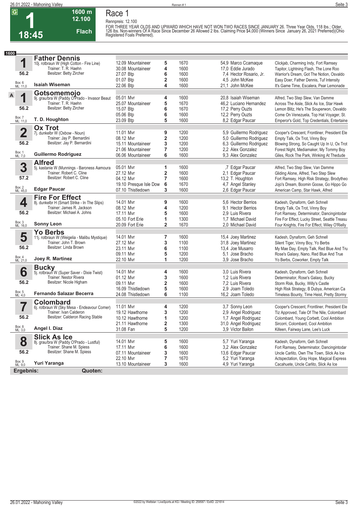**1600 m 12.100** 

**Flach**

**1 18:45** **Race 1 Rennpreis: 12.100** FOR THREE YEAR OLDS AND UPWARD WHICH HAVE NOT WON TWO RACES SINCE JANUARY 26. Three Year Olds, 118 lbs.; Older,<br>126 lbs. Non-winners Of A Race Since December 26 Allowed 2 lbs. Claiming Price \$4,000 (Winners Since January 2

| 1600                    |                                                                  |                        |                         |      |                         |                                               |
|-------------------------|------------------------------------------------------------------|------------------------|-------------------------|------|-------------------------|-----------------------------------------------|
|                         | <b>Father Dennis</b>                                             |                        |                         |      |                         |                                               |
| 1                       | 10j. rotbraun W (High Cotton - Fire Line)                        | 12.09 Mountaineer      | 5                       | 1670 | 54,9 Marco Ccamaque     | Clickjab, Charming Indy, Fort Ramsey          |
|                         | Trainer: T. R. Haehn                                             | 30.08 Mountaineer      | 4                       | 1600 | 17,0 Eddie Jurado       | Tapitor, Lightning Flash, The Lone Roo        |
| 56.2                    | Besitzer: Betty Zircher                                          | 27.07 Btp              | 6                       | 1600 | 7,4 Hector Rosario, Jr. | Warrior's Dream, Got The Notion, Osvaldo      |
|                         |                                                                  | 01.07 Btp              | 2                       | 1600 | 4,5 John McKee          | Easy Doer, Father Dennis, Tuf Intensity       |
| Box: 6<br>ML: 11,0      | <b>Isaiah Wiseman</b>                                            | 22.06 Btp              | 4                       | 1600 | 21,1 John McKee         | It's Game Time, Escalera, Pear Lemonade       |
|                         | Gotsomemojo                                                      |                        |                         |      |                         |                                               |
| A<br>1                  | 9j. grau/bra W (Paddy O'Prado - Invasor Beaut                    | 05.01 Mvr              | 4                       | 1600 | 20.8 Isaiah Wiseman     | Alfred, Two Step Slew, Van Damme              |
|                         | Trainer: T. R. Haehn                                             | 25.07 Mountaineer      | 5                       | 1670 | 46,2 Luciano Hernandez  | Across The Aisle, Slick As Ice, Star Hawk     |
| 56.2                    | Besitzer: Betty Zircher                                          | 15.07 Btp              | 6                       | 1670 | 17,2 Perry Ouzts        | Lemon Blitz, He's The Souperwon, Osvaldo      |
|                         |                                                                  | 05.06 Btp              | 6                       | 1600 | 12,2 Perry Ouzts        | Come On Venezuela, Top Hat Voyager, St.       |
| Box: 7<br>ML: 11,0      | T. D. Houghton                                                   | 23.09 Btp              | 5                       | 1600 | 8,2 Edgar Paucar        | Emperor's Gold, Top Credentials, Entertaine   |
|                         | <b>Ox Trot</b>                                                   |                        |                         |      |                         |                                               |
| $\overline{\mathbf{2}}$ | 7j. dunkelbr W (Oxbow - Noun)                                    | 11.01 Mvr              | 9                       | 1200 | 5,9 Guillermo Rodriguez | Cooper's Crescent, Frontliner, President Ele  |
|                         | Trainer: Jay P. Bernardini                                       | 08.12 Mvr              | 2                       | 1200 | 5,0 Guillermo Rodriguez | Empty Talk, Ox Trot, Vinny Boy                |
| 56.2                    | Besitzer: Jay P. Bernardini                                      | 15.11 Mountaineer      | 3                       | 1200 | 6,3 Guillermo Rodriguez | Blowing Strong, So Caught Up In U, Ox Trot    |
|                         |                                                                  | 21.06 Mountaineer      | $\overline{7}$          | 1200 | 2.2 Alex Gonzalez       | Forest Night, Mediamaker, My Tommy Boy        |
| Box: 1<br>ML: 7,0       | <b>Guillermo Rodriguez</b>                                       | 06.06 Mountaineer      | 6                       | 1600 | 9.3 Alex Gonzalez       | Giles, Rock The Park, Winking At Thedude      |
|                         | <b>Alfred</b>                                                    |                        |                         |      |                         |                                               |
| 3                       | 5j. kastanie W (Munnings - Baroness Aamoura                      | 05.01 Mvr              | 1                       | 1600 | ,7 Edgar Paucar         | Alfred, Two Step Slew, Van Damme              |
|                         | Trainer: Robert C. Cline                                         | 27.12 Mvr              | 2                       | 1600 | 2,1 Edgar Paucar        | Gliding Alone, Alfred, Two Step Slew          |
| 57.2                    | Besitzer: Robert C. Cline                                        | 04.12 Myr              | $\overline{7}$          | 1600 | 13,2 T. Houghton        | Fort Ramsey, High Risk Strategy, Brodytheo    |
|                         |                                                                  | 19.10 Presque Isle Dow | 6                       | 1670 | 4,7 Angel Stanley       | Jojo's Dream, Boomin Goose, Go Hippo Go       |
| Box: 2<br>ML: 45,0      | <b>Edgar Paucar</b>                                              | 07.10 Thistledown      | 3                       | 1600 | 2,6 Edgar Paucar        | American Camp, Star Hawk, Alfred              |
|                         | <b>Fire For Effect</b>                                           |                        |                         |      |                         |                                               |
| 4                       | 8j. dunkelbr H (Smart Strike - In The Slips)                     | 14.01 Mvr              | 9                       | 1600 | 5.6 Hector Berrios      | Kadesh, Dynaform, Geh Schnell                 |
|                         | Trainer: James R. Jackson                                        | 08.12 Mvr              | 4                       | 1200 | 9.1 Hector Berrios      | Empty Talk, Ox Trot, Vinny Boy                |
| 56.2                    | Besitzer: Michael A. Johns                                       | 17.11 Mvr              | 5                       | 1600 | 2.9 Luis Rivera         | Fort Ramsey, Determinator, Dancingintodar     |
|                         |                                                                  | 05.10 Fort Erie        | 1                       | 1300 | 1,7 Michael David       | Fire For Effect, Lucky Street, Seattle Treasu |
| Box: 3<br>ML: 16,0      | <b>Sonny Leon</b>                                                | 20.09 Fort Erie        | $\overline{2}$          | 1670 | 2,0 Michael David       | Four Knights, Fire For Effect, Wiley O'Rielly |
|                         |                                                                  |                        |                         |      |                         |                                               |
| 5                       | <b>Yo Berbs</b><br>11j. rotbraun W (Weigelia - Malibu Mystique)  | 14.01 Mvr              | 7                       | 1600 | 15,4 Joey Martinez      | Kadesh, Dynaform, Geh Schnell                 |
|                         | Trainer: John T. Brown                                           | 27.12 Mvr              | 3                       | 1100 | 31,8 Joey Martinez      | Silent Tiger, Vinny Boy, Yo Berbs             |
| 56.2                    | Besitzer: Linda Brown                                            | 23.11 Mvr              | 6                       | 1100 | 13,4 Joe Musarro        | My Mae Day, Empty Talk, Red Blue And Tru      |
|                         |                                                                  | 09.11 Myr              | 5                       | 1200 | 5.1 Jose Bracho         | Rose's Galaxy, Nano, Red Blue And True        |
| Box: 4<br>ML: 21,0      | Joey R. Martinez                                                 | 22.10 Mvr              | 1                       | 1200 | 3.9 Jose Bracho         | Yo Berbs, Coworker, Empty Talk                |
|                         |                                                                  |                        |                         |      |                         |                                               |
| 6                       | <b>Bucky</b><br>5j. rotbraun W (Super Saver - Dixie Twist)       | 14.01 Mvr              | 4                       | 1600 | 3.0 Luis Rivera         | Kadesh, Dynaform, Geh Schnell                 |
|                         | Trainer: Nestor Rivera                                           | 01.12 Mvr              | 3                       | 1600 | 1,2 Luis Rivera         | Determinator, Rose's Galaxy, Bucky            |
| 56.2                    | Besitzer: Nicole Higham                                          | 09.11 Mvr              | $\overline{\mathbf{2}}$ | 1600 | 7,2 Luis Rivera         | Storm Risk, Bucky, Willy's Castle             |
|                         |                                                                  | 16.09 Thistledown      | 5                       | 1600 | 2.9 Joam Toledo         | High Risk Strategy, B Dubya, American Ca      |
| Box: 5<br>ML: 4,0       | <b>Fernando Salazar Becerra</b>                                  | 24.08 Thistledown      | 6                       | 1100 | 16,2 Joam Toledo        | Timeless Bounty, Time Heist, Pretty Stormy    |
|                         |                                                                  |                        |                         |      |                         |                                               |
| 7                       | <b>Colombard</b><br>6j. rotbraun W (Sky Mesa - Endeavour Corner) | 11.01 Mvr              | 4                       | 1200 | 3.7 Sonny Leon          | Cooper's Crescent, Frontliner, President Ele  |
|                         | Trainer: Ivan Calderon                                           | 19.12 Hawthorne        | 3                       | 1200 | 2,9 Angel Rodriguez     | Tiz Approved, Tale Of The Nile, Colombard     |
| 56.2                    | Besitzer: Calderon Racing Stable                                 | 10.12 Hawthorne        | 1                       | 1200 | 1,7 Angel Rodriguez     | Colombard, Young Corbett, Cool Ambition       |
|                         |                                                                  | 21.11 Hawthorne        | 2                       | 1300 | 31,0 Angel Rodriguez    | Sircorri, Colombard, Cool Ambition            |
| Box: 8<br>ML: 3,0       | Angel I. Diaz                                                    | 31.08 Fan              | 5                       | 1200 | 3,9 Victor Bailon       | Killeen, Fairway Lane, Lee's Luck             |
|                         | <b>Slick As Ice</b>                                              |                        |                         |      |                         |                                               |
| 8                       | 8j. grau/bra W (Paddy O'Prado - Lustful)                         | 14.01 Mvr              | 5                       | 1600 | 5,7 Yuri Yaranga        | Kadesh, Dynaform, Geh Schnell                 |
|                         | Trainer: Shane M. Spiess                                         | 17.11 Mvr              | 6                       | 1600 | 3,2 Alex Gonzalez       | Fort Ramsey, Determinator, Dancingintodar     |
| 56.2                    | Besitzer: Shane M. Spiess                                        | 07.11 Mountaineer      | 3                       | 1600 | 13,6 Edgar Paucar       | Uncle Carlito, Own The Town, Slick As Ice     |
|                         |                                                                  | 22.10 Mvr              | 7                       | 1670 | 5,2 Yuri Yaranga        | Actspectation, Gray Hope, Magical Express     |
| Box: 9<br>ML: 9,0       | Yuri Yaranga                                                     | 13.10 Mountaineer      | 3                       | 1600 | 4,9 Yuri Yaranga        | Cacahuete, Uncle Carlito, Slick As Ice        |
| Ergebnis:               | Quoten:                                                          |                        |                         |      |                         |                                               |
|                         |                                                                  |                        |                         |      |                         |                                               |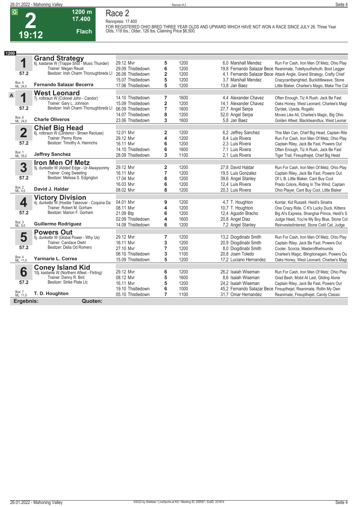**2 19:12**



# **Race 2**

**1200 m 17.400** 

**Flach**

**Rennpreis: 17.400 FOR REGISTERED OHIO BRED THREE YEAR OLDS AND UPWARD WHICH HAVE NOT WON A RACE SINCE JULY 26. Three Year Olds, 118 lbs.; Older, 126 lbs. Claiming Price \$6,500.** 

| 1200                    |                                                                          |                   |                         |      |                                                                      |
|-------------------------|--------------------------------------------------------------------------|-------------------|-------------------------|------|----------------------------------------------------------------------|
|                         | <b>Grand Strategy</b><br>6j. kastanie W (Trappe Shot - Music Thunder)    |                   |                         |      |                                                                      |
| 1                       |                                                                          | 29.12 Mvr         | 5                       | 1200 | 6.0 Marshall Mendez<br>Run For Cash, Iron Men Of Metz, Ohio Play     |
|                         | Trainer: Megan Reust                                                     | 29.09 Thistledown | 6                       | 1200 | 19,8 Fernando Salazar Bece Reanimate, Totellyouthetruth, Boot Legger |
| 57.2                    | Besitzer: Irish Charm Thoroughbreds LI                                   | 26.08 Thistledown | $\overline{\mathbf{2}}$ | 1200 | 4.1 Fernando Salazar Bece Attack Angle, Grand Strategy, Crafty Chief |
|                         |                                                                          | 15.07 Thistledown | 5                       | 1200 | 3.7 Marshall Mendez<br>Crazycantberighted, Buckititlewave, Stone     |
| Box: 5<br>ML: 24,0      | <b>Fernando Salazar Becerra</b>                                          | 17.06 Thistledown | 5                       | 1200 | 13,8 Jan Baez<br>Little Blaker, Charlee's Magic, Make The Cal        |
|                         | <b>West Leonard</b>                                                      |                   |                         |      |                                                                      |
| $\mathsf{A}$<br>1       | 7j. rotbraun W (Colonel John - Candor)                                   | 14.10 Thistledown | 7                       | 1600 | 4.4 Alexander Chavez<br>Often Enough, Tiz A Rush, Jack Be Fast       |
|                         | Trainer: Gary L. Johnson                                                 | 15.09 Thistledown | $\overline{\mathbf{2}}$ | 1200 | 14.1 Alexander Chavez<br>Oaks Honey, West Leonard, Charlee's Magi    |
| 57.2                    | Besitzer: Irish Charm Thoroughbreds LI                                   | 06.09 Thistledown | $\overline{7}$          | 1600 | 27,7 Angel Serpa<br>Dyrdek, Uyeda, Rogallo                           |
|                         |                                                                          | 14.07 Thistledown | 8                       | 1200 | 52,0 Angel Serpa<br>Moves Like Ali, Charlee's Magic, Big Ohio        |
| Box: 6<br>ML: 24,0      | <b>Charle Oliveros</b>                                                   | 23.06 Thistledown | 3                       | 1600 | 5,8 Jan Baez<br>Golden Afleet, Blacktieandtux, West Leonar           |
|                         |                                                                          |                   |                         |      |                                                                      |
| $\overline{\mathbf{2}}$ | <b>Chief Big Head</b> 6j. rotbraun W (Lentenor - Brown Recluse)          | 12.01 Mvr         | 2                       | 1200 | 6.2 Jeffrey Sanchez<br>This Man Can, Chief Big Head, Captain Rile    |
|                         | Trainer: Penny Rone                                                      | 29.12 Mvr         | 4                       | 1200 | 8.4 Luis Rivera<br>Run For Cash, Iron Men Of Metz, Ohio Play         |
| 57.2                    | Besitzer: Timothy A. Heinrichs                                           | 16.11 Mvr         | 6                       | 1200 | 2.3 Luis Rivera<br>Captain Riley, Jack Be Fast, Powers Out           |
|                         |                                                                          | 14.10 Thistledown | 6                       | 1600 | 7.1 Luis Rivera<br>Often Enough, Tiz A Rush, Jack Be Fast            |
| Box: 1<br>ML: 35,0      | <b>Jeffrey Sanchez</b>                                                   | 28.09 Thistledown | 3                       | 1100 | 2.1 Luis Rivera<br>Tiger Trail, Fireupthejet, Chief Big Head         |
|                         | <b>Iron Men Of Metz</b>                                                  |                   |                         |      |                                                                      |
| 3                       | 5j. dunkelbr W (Added Edge - Ur Alwaysonmy                               | 29.12 Mvr         | $\overline{\mathbf{2}}$ | 1200 | 27.8 David Haldar<br>Run For Cash, Iron Men Of Metz, Ohio Play       |
|                         | Trainer: Craig Sweeting                                                  | 16.11 Mvr         | 7                       | 1200 | 19.5 Luis Gonzalez<br>Captain Riley, Jack Be Fast, Powers Out        |
| 57.2                    | Besitzer: Melissa S. Edgington                                           | 17.04 Mvr         | 8                       | 1200 | 39,6 Angel Stanley<br>Ol' L B, Little Blaker, Cant Buy Cool          |
|                         |                                                                          | 16.03 Mvr         | 6                       | 1200 | 12.4 Luis Rivera<br>Prado Colors, Riding In The Wind, Captain        |
| Box: 2<br>ML: 4,0       | David J. Haldar                                                          | 08.02 Mvr         | 8                       | 1200 | 20,3 Luis Rivera<br>Ohio Player, Cant Buy Cool, Little Blaker        |
|                         |                                                                          |                   |                         |      |                                                                      |
| 4                       | <b>Victory Division</b><br>4j. dunkelbr W (Hostile Takeover - Coquina Da | 04.01 Mvr         | 9                       | 1200 | 4,7 T. Houghton<br>Kontar, Kid Russell, Heidi's Sinatra              |
|                         | Trainer: Robert M. Gorham                                                | 08.11 Mvr         | 4                       | 1200 | 10,7 T. Houghton<br>One Crazy Ride, C K's Lucky Duck, Kittens        |
| 57.2                    | Besitzer: Marion F. Gorham                                               | 21.09 Btp         | 6                       | 1200 | 12,4 Agustin Bracho<br>Big Al's Express, Shanghai Prince, Heidi's S  |
|                         |                                                                          | 02.09 Thistledown | 4                       | 1600 | 20,8 Angel Diaz<br>Judge Head, You're My Boy Blue, Stone Col         |
| Box: 3<br>ML: 9.0       | <b>Guillermo Rodriguez</b>                                               | 14.08 Thistledown | 6                       | 1200 | 7,2 Angel Stanley<br>Reinvestedinterest, Stone Cold Cat, Judge       |
|                         |                                                                          |                   |                         |      |                                                                      |
| 5                       | <b>Powers Out</b><br>5j. dunkelbr W (Global Power - Why Us)              | 29.12 Mvr         | 7                       | 1200 | 13,2 Diogdinabi Smith<br>Run For Cash, Iron Men Of Metz, Ohio Play   |
|                         | Trainer: Candace Diehl                                                   | 16.11 Myr         | 3                       | 1200 | 20,9 Diogdinabi Smith<br>Captain Riley, Jack Be Fast, Powers Out     |
| 57.2                    | Besitzer: Delia Od Romero                                                | 27.10 Myr         | 7                       | 1200 | 8,0 Diogdinabi Smith<br>Cooler, Scorza, Masterofthehounds            |
|                         |                                                                          | 06.10 Thistledown | 3                       | 1100 | 20.8 Joam Toledo<br>Charlee's Magic, Blingitonagain, Powers Ou       |
| Box: 4<br>ML: 11,0      | Yarmarie L. Correa                                                       | 15.09 Thistledown | 5                       | 1200 | 17,2 Luciano Hernandez<br>Oaks Honey, West Leonard, Charlee's Magi   |
|                         |                                                                          |                   |                         |      |                                                                      |
| 6                       | <b>Coney Island Kid</b>                                                  | 29.12 Mvr         | 6                       | 1200 | 26,2 Isaiah Wiseman<br>Run For Cash, Iron Men Of Metz, Ohio Play     |
|                         | 10j. kastanie W (Northern Afleet - Flirting)<br>Trainer: Danny R. Bird   | 08.12 Mvr         | 5                       | 1600 | 8.6 Isaiah Wiseman<br>Grad Bash, Mobil At Last, Gliding Alone        |
| 57.2                    | Besitzer: Strike Plate Llc                                               | 16.11 Mvr         | 5                       | 1200 | 24.2 Isaiah Wiseman<br>Captain Riley, Jack Be Fast, Powers Out       |
|                         |                                                                          | 19.10 Thistledown | 6                       | 1000 | 45,2 Fernando Salazar Bece Fireupthejet, Reanimate, Rollin My Own    |
| Box: 7<br>ML: 11,0      | T. D. Houghton                                                           | 05.10 Thistledown | $\overline{7}$          | 1100 | 31,7 Omar Hernandez<br>Reanimate, Fireupthejet, Candy Classic        |
|                         |                                                                          |                   |                         |      |                                                                      |
| Ergebnis:               | Quoten:                                                                  |                   |                         |      |                                                                      |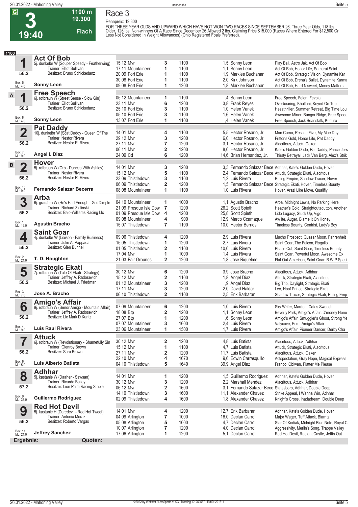

**Race 3**

**Rennpreis: 19.300**

**19.300 Flach**

**1100 m**

FOR THREE YEAR OLDS AND UPWARD WHICH HAVE NOT WON TWO RACES SINCE SEPTEMBER 26. Three Year Olds, 118 lbs.;<br>Older, 126 lbs. Non-winners Of A Race Since December 26 Allowed 2 lbs. Claiming Price \$15,000 (Races Where Entered

| 1100 |                         |                                                                         |                                        |                              |              |                                            |                                                                                     |
|------|-------------------------|-------------------------------------------------------------------------|----------------------------------------|------------------------------|--------------|--------------------------------------------|-------------------------------------------------------------------------------------|
|      |                         | <b>Act Of Bob</b>                                                       |                                        |                              |              |                                            |                                                                                     |
|      | 1                       | 5j. dunkelbr W (Souper Speedy - Featherwing)                            | 15.12 Mvr                              | 3                            | 1100         | 1,5 Sonny Leon                             | Play Ball, Astro Jak, Act Of Bob                                                    |
|      | 56.2                    | Trainer: Elliot Sullivan<br>Besitzer: Bruno Schickedanz                 | 17.11 Mountaineer                      | 1                            | 1100         | 1,1 Sonny Leon                             | Act Of Bob, Honor Life, Samurai Saint                                               |
|      |                         |                                                                         | 20.09 Fort Erie                        | 1                            | 1100         | 1,9 Marklee Buchanan                       | Act Of Bob, Strategic Vision, Dynamite Kar                                          |
|      | Box: 5<br>ML: 4,0       | <b>Sonny Leon</b>                                                       | 30.08 Fort Erie<br>09.08 Fort Erie     | 1<br>1                       | 1100<br>1200 | 2.0 Kirk Johnson<br>1,8 Marklee Buchanan   | Act Of Bob, Drena's Bullet, Dynamite Karma                                          |
|      |                         |                                                                         |                                        |                              |              |                                            | Act Of Bob, Hard N'sweet, Money Matters                                             |
| A    |                         | <b>Free Speech</b><br>6j. rotbraun W (Street Sense - Slow Gin)          |                                        |                              |              |                                            |                                                                                     |
|      | 1                       |                                                                         | 05.12 Mountaineer                      | 1                            | 1100         | ,4 Sonny Leon                              | Free Speech, Felon, Fevola                                                          |
|      | 56.2                    | Trainer: Elliot Sullivan<br>Besitzer: Bruno Schickedanz                 | 23.11 Mvr                              | 6                            | 1200         | 3,8 Frank Reyes                            | Overbearing, Khalfani, Keyed On Top                                                 |
|      |                         |                                                                         | 25.10 Fort Erie                        | 3                            | 1100         | 1.0 Helen Vanek                            | Hesathriller, Summer Retreat, Big Time Loui                                         |
|      | Box: 8<br>ML: 4,0       | <b>Sonny Leon</b>                                                       | 05.10 Fort Erie                        | 3                            | 1100         | 1.6 Helen Vanek                            | Awesome Miner, Bangor Ridge, Free Speec                                             |
|      |                         |                                                                         | 13.07 Fort Erie                        | 1                            | 1100         | ,4 Helen Vanek                             | Free Speech, Jack Beanstalk, Kuduro                                                 |
|      |                         | <b>Pat Daddy</b>                                                        |                                        |                              |              |                                            |                                                                                     |
|      | $\overline{\mathbf{2}}$ | 10j. dunkelbr W (Scat Daddy - Queen Of The                              | 14.01 Mvr                              | 4                            | 1100         | 5,5 Hector Rosario, Jr.                    | Mon Camo, Rescue Five, My Mae Day                                                   |
|      | 56.2                    | Trainer: Nestor Rivera<br>Besitzer: Nestor R. Rivera                    | 29.12 Mvr                              | 3                            | 1200         | 6.0 Hector Rosario, Jr.                    | Frittons Gold, Honor Life, Pat Daddy                                                |
|      |                         |                                                                         | 27.11 Mvr                              | 7                            | 1200         | 3,1 Hector Rosario, Jr.                    | Alacritous, Attuck, Oaken                                                           |
|      | Box: 7<br>ML: 9,0       | Angel I. Diaz                                                           | 06.11 Mvr                              | $\overline{\mathbf{2}}$<br>6 | 1200         | 8.0 Hector Rosario, Jr.                    | Kate's Golden Dude, Pat Daddy, Prince Jers                                          |
|      |                         |                                                                         | 24.09 Cd                               |                              | 1200         | 14,6 Brian Hernandez, Jr.                  | Thirsty Betrayal, Jack Van Berg, Alex's Strik                                       |
| в    |                         | <b>Hover</b>                                                            |                                        |                              |              |                                            |                                                                                     |
|      | $\mathbf 2$             | 5j. rotbraun W (Orb - Dances With Ashley)                               | 14.01 Mvr                              | 3                            | 1200         |                                            | 3,3 Fernando Salazar Bece Adhhar, Kate's Golden Dude, Hover                         |
|      |                         | Trainer: Nestor Rivera<br>Besitzer: Nestor R. Rivera                    | 15.12 Mvr                              | 5                            | 1100         |                                            | 2.4 Fernando Salazar Bece Attuck, Strategic Ekati, Alacritous                       |
|      | 56.2                    |                                                                         | 23.09 Thistledown                      | 3                            | 1100         | 1.2 Luis Rivera                            | Ruling Empire, Shadow Tracer, Hover                                                 |
|      | Box: 10<br>ML: 9,0      | <b>Fernando Salazar Becerra</b>                                         | 06.09 Thistledown                      | $\overline{\mathbf{2}}$<br>1 | 1200         |                                            | 1,5 Fernando Salazar Bece Strategic Ekati, Hover, Timeless Bounty                   |
|      |                         |                                                                         | 08.08 Mountaineer                      |                              | 1100         | 1.0 Luis Rivera                            | Hover, Arazi Like Move, Qualifly                                                    |
|      |                         | <b>Arba</b>                                                             |                                        |                              |              |                                            |                                                                                     |
|      | 3                       | 6j. grau/bra W (He's Had Enough - Got Dimple                            | 04.10 Mountaineer                      | 1                            | 1000         | 1,1 Agustin Bracho                         | Arba, Midnight Lewis, No Parking Here                                               |
|      | 56.2                    | Trainer: Richard Zielinski<br>Besitzer: Balo-Williams Racing Llc        | 21.09 Presque Isle Dow                 | $\overline{7}$               | 1200         | 26,2 Scott Spieth                          | Heather's Gold, Straightoutadutton, Another                                         |
|      |                         |                                                                         | 01.09 Presque Isle Dow                 | 4                            | 1200         | 25,8 Scott Spieth                          | Lido Legacy, Stuck Up, Vigo                                                         |
|      | Box: 1<br>ML: 16,0      | <b>Agustin Bracho</b>                                                   | 09.08 Mountaineer<br>15.07 Thistledown | 4<br>7                       | 900<br>1100  | 12,9 Marco Ccamague<br>10,0 Hector Berrios | Aw Ite, Auger, Blame It On Honey<br>Timeless Bounty, Centrist, Lady's Boy           |
|      |                         |                                                                         |                                        |                              |              |                                            |                                                                                     |
|      |                         | <b>Saint Goar</b>                                                       |                                        |                              |              |                                            |                                                                                     |
|      | 4                       | 4j. dunkelbr W (Liaison - Family Business)<br>Trainer: Julie A. Pappada | 09.06 Thistledown                      | 4                            | 1200         | 2,9 Luis Rivera                            | Mucho Prospect, Quasar Moon, Fahrenheit                                             |
|      | 56.2                    | Besitzer: Glen Bunnell                                                  | 15.05 Thistledown                      | 1                            | 1200         | 2.7 Luis Rivera                            | Saint Goar, The Falcon, Rogallo                                                     |
|      |                         |                                                                         | 01.05 Thistledown<br>17.04 Mvr         | 2                            | 1100<br>1000 | 10,0 Luis Rivera                           | Phase Out, Saint Goar, Timeless Bounty                                              |
|      | Box: 2<br>ML: 21,0      | T. D. Houghton                                                          | 21.03 Fair Grounds                     | 1<br>$\overline{\mathbf{2}}$ | 1200         | 1.4 Luis Rivera<br>1,8 Jose Riquelme       | Saint Goar, Powerful Moon, Awesome Ox<br>Flat Out American, Saint Goar, B W P Speci |
|      |                         |                                                                         |                                        |                              |              |                                            |                                                                                     |
|      | 5                       | <b>Strategic Ekati</b><br>7j. rotbraun W (Tale Of Ekati - Strategy)     | 30.12 Mvr                              | 6                            | 1200         | 3.9 Jose Bracho                            | Alacritous, Attuck, Adhhar                                                          |
|      |                         | Trainer: Jeffrey A. Radosevich                                          | 15.12 Mvr                              | 2                            | 1100         | 1,8 Angel Diaz                             | Attuck, Strategic Ekati, Alacritous                                                 |
|      | 56.2                    | Besitzer: Michael J. Friedman                                           | 01.12 Mountaineer                      | 3                            | 1200         | ,9 Angel Diaz                              | Big Trip, Daylight, Strategic Ekati                                                 |
|      |                         |                                                                         | 17.11 Mvr                              | 3                            | 1200         | 2.0 David Haldar                           | Leo, Hoof Prince, Strategic Ekati                                                   |
|      | Box: 3<br>ML: 7,0       | Jose A. Bracho                                                          | 06.10 Thistledown                      | $\overline{2}$               | 1100         | 2.5 Erik Barbaran                          | Shadow Tracer, Strategic Ekati, Ruling Emp                                          |
|      |                         |                                                                         |                                        |                              |              |                                            |                                                                                     |
|      | 6                       | <b>Amigo's Affair</b><br>9j. rotbraun W (Senor Amigo - Mountain Affair) | 07.09 Mountaineer                      | 6                            | 1200         | 1.0 Luis Rivera                            | Sky Writer, Marden, Cates Swoosh                                                    |
|      |                         | Trainer: Jeffrey A. Radosevich                                          | 18.08 Btp                              | 2                            | 1200         | 1,1 Sonny Leon                             | Beverly Park, Amigo's Affair, D'money Hone                                          |
|      | 56.2                    | Besitzer: Llc Mark D Kuntz                                              | 27.07 Btp                              | 1                            | 1200         | .6 Sonny Leon                              | Amigo's Affair, Smuggler's Ghost, Strong Ye                                         |
|      |                         |                                                                         | 07.07 Mountaineer                      | 3                            | 1600         | 2,4 Luis Rivera                            | Valycove, Ecru, Amigo's Affair                                                      |
|      | Box: 4<br>ML: 9,0       | <b>Luis Raul Rivera</b>                                                 | 23.06 Mountaineer                      | 1                            | 1500         | 1,7 Luis Rivera                            | Amigo's Affair, Pioneer Dancer, Derby Cha                                           |
|      |                         | <b>Attuck</b>                                                           |                                        |                              |              |                                            |                                                                                     |
|      | 7                       | 6j. rotbraun W (Revolutionary - Shamefully Sin                          | 30.12 Mvr                              | 2                            | 1200         | 4,8 Luis Batista                           | Alacritous, Attuck, Adhhar                                                          |
|      |                         | Trainer: Glenroy Brown                                                  | 15.12 Mvr                              | 1                            | 1100         | 4,7 Luis Batista                           | Attuck, Strategic Ekati, Alacritous                                                 |
|      | 56.2                    | Besitzer: Sara Brown                                                    | 27.11 Mvr                              | 2                            | 1200         | 11,7 Luis Batista                          | Alacritous, Attuck, Oaken                                                           |
|      |                         |                                                                         | 22.10 Mvr                              | 4                            | 1670         | 9.6 Edwin Carrasquillo                     | Actspectation, Gray Hope, Magical Express                                           |
|      | Box: 6<br>ML: 5,0       | Luis Alberto Batista                                                    | 04.10 Thistledown                      | 5                            | 1640         | 39,9 Angel Diaz                            | Franco, Obiwan, Flatter Me Please                                                   |
|      |                         | <b>Adhhar</b>                                                           |                                        |                              |              |                                            |                                                                                     |
|      | 8                       | 5j. kastanie W (Daaher - Sawsan)                                        | 14.01 Mvr                              | 1                            | 1200         | 1,5 Guillermo Rodriguez                    | Adhhar, Kate's Golden Dude, Hover                                                   |
|      |                         | Trainer: Ricardo Bailey                                                 | 30.12 Mvr                              | 3                            | 1200         | 2,2 Marshall Mendez                        | Alacritous, Attuck, Adhhar                                                          |
|      | 57.2                    | Besitzer: Lion Palm Racing Stable                                       | 06.12 Mvr                              | 2                            | 1600         |                                            | 3,1 Fernando Salazar Bece Statesboro, Adhhar, Double Deep                           |
|      |                         |                                                                         | 14.10 Thistledown                      | 3                            | 1600         | 11.1 Alexander Chavez                      | Strike Appeal, I Wanna Win, Adhhar                                                  |
|      | Box: 9<br>ML: 35,0      | Guillermo Rodriguez                                                     | 02.09 Thistledown                      | 4                            | 1600         | 1,8 Alexander Chavez                       | Knight's Cross, Ihadadream, Double Deep                                             |
|      |                         | <b>Red Hot Devil</b>                                                    |                                        |                              |              |                                            |                                                                                     |
|      | 9                       | 5j. kastanie H (Daredevil - Red Hot Tweet)                              | 14.01 Mvr                              | 4                            | 1200         | 12,7 Erik Barbaran                         | Adhhar, Kate's Golden Dude, Hover                                                   |
|      |                         | Trainer: Antonio Meraz                                                  | 04.09 Arlington                        | 7                            | 1000         | 16,0 Declan Carroll                        | Major Wager, Tuff Attack, Biarritz                                                  |
|      | 56.2                    | Besitzer: Roberto Vargas                                                | 05.08 Arlington                        | 5                            | 1000         | 4,7 Declan Carroll                         | Star Of Kodiak, Midnight Blue Note, Royal C                                         |
|      |                         |                                                                         | 10.07 Arlington                        | 7                            | 1200         | 4,0 Declan Carroll                         | Aggressivity, Merlin's Song, Trappe Valley                                          |
|      | Box: 11<br>ML: 21,0     | <b>Jeffrey Sanchez</b>                                                  | 17.06 Arlington                        | 1                            | 1200         | 5,1 Declan Carroll                         | Red Hot Devil, Radiant Castle, Jettin Out                                           |
|      | Ergebnis:               | Quoten:                                                                 |                                        |                              |              |                                            |                                                                                     |
|      |                         |                                                                         |                                        |                              |              |                                            |                                                                                     |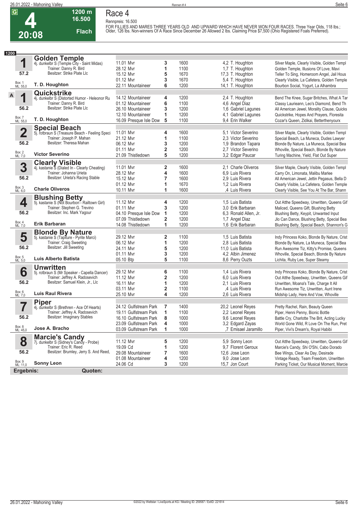**4 20:08**

### **1200 m Flach Race 4 Rennpreis: 16.500**

**16.500** 

FOR FILLIES AND MARES THREE YEARS OLD AND UPWARD WHICH HAVE NEVER WON FOUR RACES. Three Year Olds, 118 lbs.;<br>Older, 126 lbs. Non-winners Of A Race Since December 26 Allowed 2 lbs. Claiming Price \$7,500 (Ohio Registered Fo

| 1200                    |                                                                       |                        |                         |      |                       |                                              |
|-------------------------|-----------------------------------------------------------------------|------------------------|-------------------------|------|-----------------------|----------------------------------------------|
|                         | <b>Golden Temple</b>                                                  |                        |                         |      |                       |                                              |
| 1                       | 4j. dunkelbr S (Temple City - Saint Midas)                            | 11.01 Mvr              | 3                       | 1600 | 4,2 T. Houghton       | Silver Maple, Clearly Visible, Golden Templ  |
|                         | Trainer: Danny R. Bird                                                | 28.12 Mvr              | 1                       | 1100 | 1,7 T. Houghton       | Golden Temple, Illusions Of Love, Mavi       |
| 57.2                    | Besitzer: Strike Plate Llc                                            | 15.12 Mvr              | 5                       | 1670 | 17,3 T. Houghton      | Teller To Sing, Homeroom Angel, Jail Hous    |
|                         |                                                                       | 01.12 Mvr              | 3                       | 1670 | 5,4 T. Houghton       | Clearly Visible, La Cafetera, Golden Temple  |
| Box: 1<br>ML: 55,0      | T. D. Houghton                                                        | 22.11 Mountaineer      | 6                       | 1200 | 14,1 T. Houghton      | Bourbon Social, Yogurt, La Alhambra          |
|                         | Quickstrike                                                           |                        |                         |      |                       |                                              |
| A<br>1                  | 4j. dunkelbr S (Distorted Humor - Heleonor Ru                         | 14.12 Mountaineer      | 4                       | 1200 | 2,4 T. Houghton       | Bend The Knee, Sugar Britches, What A Tar    |
|                         | Trainer: Danny R. Bird                                                | 01.12 Mountaineer      | 6                       | 1100 | 4,6 Angel Diaz        | Classy Laurieann, Leo's Diamond, Bend Th     |
| 56.2                    | Besitzer: Strike Plate Llc                                            | 26.10 Mountaineer      | 3                       | 1200 | 1,6 Gabriel Lagunes   | All American Jewel, Morality Clause, Quicks  |
|                         |                                                                       | 12.10 Mountaineer      | 1                       | 1200 | 4,1 Gabriel Lagunes   | Quickstrike, Hopes And Prayers, Floresita    |
| Box: 7<br>ML: 55,0      | T. D. Houghton                                                        | 16.09 Presque Isle Dow | 5                       | 1100 | 9,4 Erin Walker       | Cozar's Queen, Zidikai, Betterthenyourx      |
|                         |                                                                       |                        |                         |      |                       |                                              |
| $\overline{\mathbf{2}}$ | <b>Special Beach</b>                                                  | 11.01 Mvr              |                         | 1600 | 5.1 Victor Severino   |                                              |
|                         | 5j. rotbraun S (Treasure Beach - Feeling Speci                        | 21.12 Mvr              | 4                       |      |                       | Silver Maple, Clearly Visible, Golden Templ  |
| 56.2                    | Trainer: Joseph P. Mahan<br>Besitzer: Theresa Mahan                   |                        | 1                       | 1100 | 2.3 Victor Severino   | Special Beach, La Muneca, Dudes Lawyer       |
|                         |                                                                       | 06.12 Mvr              | 3                       | 1200 | 1,9 Brandon Tapara    | Blonde By Nature, La Muneca, Special Bea     |
|                         | <b>Victor Severino</b>                                                | 01.11 Mvr              | $\overline{\mathbf{2}}$ | 1200 | 2.7 Victor Severino   | Whoville, Special Beach, Blonde By Nature    |
| Box: 2<br>ML: 7,0       |                                                                       | 21.09 Thistledown      | 5                       | 1200 | 3,2 Edgar Paucar      | Turing Machine, Yield, Flat Out Super        |
|                         | <b>Clearly Visible</b>                                                |                        |                         |      |                       |                                              |
| 3                       | 4j. kastanie Š (Dialed In - Clearly Cheating)                         | 11.01 Mvr              | $\mathbf{2}$            | 1600 | 2,1 Charle Oliveros   | Silver Maple, Clearly Visible, Golden Templ  |
|                         | Trainer: Johanna Urieta                                               | 28.12 Mvr              | 4                       | 1600 | 6.9 Luis Rivera       | Carry On, Limonata, Malibu Marlee            |
| 56.2                    | Besitzer: Urieta's Racing Stable                                      | 15.12 Mvr              | $\overline{7}$          | 1600 | 2.9 Luis Rivera       | All American Jewel, Jettin Pegasus, Bella D  |
|                         |                                                                       | 01.12 Mvr              | 1                       | 1670 | 1,2 Luis Rivera       | Clearly Visible, La Cafetera, Golden Temple  |
| Box: 3<br>ML: 6,0       | <b>Charle Oliveros</b>                                                | 10.11 Mvr              | 1                       | 1600 | ,4 Luis Rivera        | Clearly Visible, See You At The Bar, Shann   |
|                         | <b>Blushing Betty</b><br>5j. kastanie S (Not Bourbon - Railtown Girl) |                        |                         |      |                       |                                              |
| 4                       |                                                                       | 11.12 Mvr              | 4                       | 1200 | 1.5 Luis Batista      | Out Atthe Speedway, Unwritten, Queens Gif    |
|                         | Trainer: Stephen G. Trevino                                           | 01.11 Mvr              | 3                       | 1200 | 3.0 Erik Barbaran     | Maliced, Queens Gift, Blushing Betty         |
| 56.2                    | Besitzer: Inc. Mark Yagour                                            | 04.10 Presque Isle Dow | 1                       | 1200 | 6.3 Ronald Allen, Jr. | Blushing Betty, Keypit, Unwanted Input       |
|                         |                                                                       | 07.09 Thistledown      | 2                       | 1200 | 1,7 Angel Diaz        | Jlo Can Dance, Blushing Betty, Special Bea   |
| Box: 4<br>ML: 7,0       | Erik Barbaran                                                         | 14.08 Thistledown      | 1                       | 1200 | 1.6 Erik Barbaran     | Blushing Betty, Special Beach, Shannon's G   |
|                         | <b>Blonde By Nature</b>                                               |                        |                         |      |                       |                                              |
| 5                       | 5j. kastanie S (Tapiture - Pyrite Marci)                              | 29.12 Mvr              | 2                       | 1100 | 1.5 Luis Batista      | Indy Princess Koko, Blonde By Nature, Crist  |
|                         | Trainer: Craig Sweeting                                               | 06.12 Mvr              | 1                       | 1200 | 2,8 Luis Batista      | Blonde By Nature, La Muneca, Special Bea     |
| 56.2                    | Besitzer: Jill Sweeting                                               | 24.11 Mvr              | 5                       | 1200 | 11,0 Luis Batista     | Run Awesome Tiz, Kitty's Promise, Queens     |
|                         |                                                                       | 01.11 Mvr              | 3                       | 1200 | 4,2 Albin Jimenez     | Whoville, Special Beach, Blonde By Nature    |
| Box: 5<br>ML: 5,0       | Luis Alberto Batista                                                  | 05.10 Btp              | 5                       | 1100 | 8,6 Perry Ouzts       | Lichita, Ruby Lee, Super Steamy              |
|                         | <b>Unwritten</b>                                                      |                        |                         |      |                       |                                              |
| 6                       | 5j. rotbraun S (Mr Speaker - Capella Dancer)                          | 29.12 Mvr              | 6                       | 1100 | 1.4 Luis Rivera       | Indy Princess Koko, Blonde By Nature, Crist  |
|                         | Trainer: Jeffrey A. Radosevich                                        | 11.12 Mvr              | 2                       | 1200 | 6.0 Luis Rivera       | Out Atthe Speedway, Unwritten, Queens Gif    |
| 56.2                    | Besitzer: Samuel Klein, Jr., Llc                                      | 16.11 Mvr              | 1                       | 1200 | 2.1 Luis Rivera       | Unwritten, Moana's Tale, Charge It All       |
|                         |                                                                       | 03.11 Myr              | 2                       | 1100 | ,4 Luis Rivera        | Run Awesome Tiz, Unwritten, Aunt Irene       |
| Box: 6<br>ML: 7,0       | <b>Luis Raul Rivera</b>                                               | 25.10 Mvr              | $\overline{\mathbf{4}}$ | 1200 | 2.6 Luis Rivera       | Midship Lady, Here And Vow, Whoville         |
|                         | <b>Piper</b>                                                          |                        |                         |      |                       |                                              |
| 7                       | 4j. dunkelbr S (Brethren - Ace Of Hearts)                             | 24.12 Gulfstream Park  | 7                       | 1400 | 20,2 Leonel Reyes     | Pretty Rachel, Rain, Beauty Queen            |
|                         | Trainer: Jeffrey A. Radosevich                                        | 19.11 Gulfstream Park  | 1                       | 1100 | 2,2 Leonel Reyes      | Piper, Henni Penny, Bionic Bottle            |
| 56.2                    | Besitzer: Imaginary Stables                                           | 16.10 Gulfstream Park  | 8                       | 1000 | 9,6 Leonel Reyes      | Battle Cry, Charlotte The Brit, Acting Lucky |
|                         |                                                                       | 23.09 Gulfstream Park  | 4                       | 1000 | 3,2 Edgard Zayas      | World Gone Wild, R Love On The Run, Pret     |
| Box: 8<br>ML: 45,0      | Jose A. Bracho                                                        | 03.09 Gulfstream Park  | 1                       | 1000 | ,7 Emisael Jaramillo  | Piper, Vivi's Dream's, Royal Habibi          |
|                         |                                                                       |                        |                         |      |                       |                                              |
| 8                       | <b>Marcie's Candy</b><br>7j. dunkelbr S (Sidney's Candy - Probe)      | 11.12 Mvr              | 5                       | 1200 | 5,9 Sonny Leon        | Out Atthe Speedway, Unwritten, Queens Gif    |
|                         | Trainer: Eric R. Reed                                                 | 19.09 Cd               | 1                       | 1200 | 9,7 Florent Geroux    | Marcie's Candy, Shi O'Shi, Cabo Dorado       |
| 56.2                    | Besitzer: Brumley, Jerry S. And Reed,                                 | 29.08 Mountaineer      | 7                       | 1600 | 12,6 Jose Leon        | Bee Wings, Clear As Day, Desirade            |
|                         |                                                                       | 01.08 Mountaineer      | 4                       | 1200 | 9.0 Jose Leon         | Vintage Ready, Team Freedom, Unwritten       |
| Box: 9<br>ML: 11,0      | <b>Sonny Leon</b>                                                     | 24.06 Cd               | 3                       | 1200 | 15,7 Jon Court        | Parking Ticket, Our Musical Moment, Marcie   |
|                         | Quoten:                                                               |                        |                         |      |                       |                                              |
| Ergebnis:               |                                                                       |                        |                         |      |                       |                                              |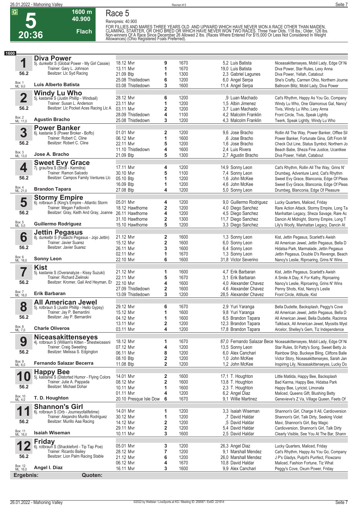

**Race 5**

**1600 m 40.900** 

**Flach**

**Rennpreis: 40.900**

FOR FILLIES AND MARES THREE YEARS OLD AND UPWARD WHICH HAVE NEVER WON A RACE OTHER THAN MAIDEN,<br>CLAIMING, STARTER, OR OHIO BRED OR WHICH HAVE NEVER WON TWO RACES. Three Year Olds, 118 lbs.; Older, 126 lbs.<br>Non-winners Of

| 1600                    |                                                                        |                                |                              |              |                                        |                                                                                            |
|-------------------------|------------------------------------------------------------------------|--------------------------------|------------------------------|--------------|----------------------------------------|--------------------------------------------------------------------------------------------|
|                         | <b>Diva Power</b>                                                      |                                |                              |              |                                        |                                                                                            |
| 1                       | 5j. dunkelbr S (Global Power - My Girl Cassie)                         | 18.12 Mvr                      | 9                            | 1670         | 5,2 Luis Batista                       | Niceasakittenseyes, Mobil Lady, Edge Of Ni                                                 |
| 56.2                    | Trainer: Gary L. Johnson<br>Besitzer: Llc Syd Racing                   | 13.11 Mvr                      | 1                            | 1670         | 19,0 Luis Batista                      | Diva Power, Star Rules, Lexy Anna                                                          |
|                         |                                                                        | 21.09 Btp<br>25.08 Thistledown | 1                            | 1300<br>1200 | 2,3 Gabriel Lagunes                    | Diva Power, Yellah, Catabout                                                               |
| Box: 1<br>ML: 9,0       | Luis Alberto Batista                                                   | 03.08 Thistledown              | 6<br>3                       | 1600         | 6,0 Angel Serpa<br>11,4 Angel Serpa    | She's Crafty, Carmen Ohio, Northern Journe<br>Ballroom Blitz, Mobil Lady, Diva Power       |
|                         |                                                                        |                                |                              |              |                                        |                                                                                            |
| $\overline{\mathbf{2}}$ | <b>Windy Lu Who</b><br>5j. kastanie S (Justin Phillip - Windsail)      | 28.12 Mvr                      | 6                            | 1200         | ,9 Luan Machado                        | Cat's Rhythm, Happy As You Go, Company                                                     |
|                         | Trainer: Susan L. Anderson                                             | 23.11 Mvr                      | 1                            | 1200         | 1,5 Albin Jimenez                      | Windy Lu Who, One Glamorous Gal, Nancy'                                                    |
| 56.2                    | Besitzer: LIc Pocket Aces Racing LIc A                                 | 03.11 Mvr                      | $\overline{\mathbf{2}}$      | 1200         | 3.7 Luan Machado                       | Tivis, Windy Lu Who, Lexy Anna                                                             |
|                         |                                                                        | 28.09 Thistledown              | 4                            | 1100         | 4,2 Malcolm Franklin                   | Front Circle, Tivis, Speak Lightly                                                         |
| Box: 2<br>ML: 11,0      | <b>Agustin Bracho</b>                                                  | 25.08 Thistledown              | 3                            | 1200         | 4,3 Malcolm Franklin                   | Twerk, Speak Lightly, Windy Lu Who                                                         |
|                         | <b>Power Banker</b>                                                    |                                |                              |              |                                        |                                                                                            |
| 3                       | 6j. kastanie S (Power Broker - Boffo)                                  | 01.01 Mvr                      | 2                            | 1200         | 9.6 Jose Bracho                        | Rollin All The Way, Power Banker, Offlee Sil                                               |
|                         | Trainer: Robert C. Cline                                               | 06.12 Mvr                      | 1                            | 1600         | .6 Jose Bracho                         | Power Banker, Fortunate Gina, Gift From M                                                  |
| 56.2                    | Besitzer: Robert C. Cline                                              | 22.11 Mvr                      | 5                            | 1200         | 1.6 Jose Bracho                        | Check Out Line, Status Symbol, Northern Jo                                                 |
| Box: 3<br>ML: 13,0      | Jose A. Bracho                                                         | 11.10 Thistledown              | 4                            | 1600         | 2.4 Luis Rivera                        | Beach Babe, Sheza Fine Justice, Ucantkee                                                   |
|                         |                                                                        | 21.09 Btp                      | 5                            | 1300         | 2,7 Agustin Bracho                     | Diva Power, Yellah, Catabout                                                               |
|                         | <b>Sweet Evy Grace</b>                                                 |                                |                              |              |                                        |                                                                                            |
| 4                       | 7j. grau/bra S (Stroll - Kermitra)<br>Trainer: Ramon Salcedo           | 17.11 Mvr<br>30.10 Mvr         | 4<br>5                       | 1200<br>1100 | 14,9 Sonny Leon                        | Cat's Rhythm, Rollin All The Way, Grins N'                                                 |
| 56.2                    | Besitzer: Campos Family Ventures Llc                                   | 05.10 Btp                      | 1                            | 1200         | 7,4 Sonny Leon<br>1.6 John McKee       | Drumbeg, Adventure Land, Cat's Rhythm<br>Sweet Evy Grace, Blanconia, Edge Of Pleas         |
|                         |                                                                        | 16.09 Btp                      | 1                            | 1200         | 4.6 John McKee                         | Sweet Evy Grace, Blanconia, Edge Of Pleas                                                  |
| Box: 4<br>ML: 21,0      | <b>Brandon Tapara</b>                                                  | 27.08 Btp                      | 4                            | 1200         | 5,0 Sonny Leon                         | Drumbeg, Blanconia, Edge Of Pleasure                                                       |
|                         |                                                                        |                                |                              |              |                                        |                                                                                            |
| 5                       | <b>Stormy Empire</b><br>6j. rotbraun S (King's Empire - Atlantic Storm | 05.01 Mvr                      | 4                            | 1200         | 9,0 Guillermo Rodriguez                | Lucky Quarters, Maliced, Friday                                                            |
|                         | Trainer: Megan Fadlovich                                               | 18.12 Hawthorne                | 2                            | 1200         | 4,0 Diego Sanchez                      | Rare Action Attack, Stormy Empire, Long Ta                                                 |
| 56.2                    | Besitzer: Gray, Keith And Gray, Joanne                                 | 26.11 Hawthorne                | 4                            | 1200         | 4,5 Diego Sanchez                      | Manhattan Legacy, Sheza Savage, Rare Ac                                                    |
|                         |                                                                        | 31.10 Hawthorne                | 2                            | 1300         | 11,7 Diego Sanchez                     | Dancin At Midnight, Stormy Empire, Long T                                                  |
| Box: 5<br>ML: 5,0       | <b>Guillermo Rodriguez</b>                                             | 15.10 Hawthorne                | 5                            | 1200         | 3,3 Diego Sanchez                      | Lily's Woofy, Manhattan Legacy, Dancin At                                                  |
|                         | Jettin Pegasus<br>8j. dunkelbr S (Fusaichi Pegasus - Jojo Jettin)      |                                |                              |              |                                        |                                                                                            |
| 6                       |                                                                        | 21.12 Mvr                      | 2                            | 1600         | 1,3 Sonny Leon                         | Kist, Jettin Pegasus, Scarlett's Awish                                                     |
|                         | Trainer: Javier Suarez<br>Besitzer: Javier Suarez                      | 15.12 Mvr                      | 2                            | 1600         | 6,0 Sonny Leon                         | All American Jewel, Jettin Pegasus, Bella D                                                |
| 56.2                    |                                                                        | 26.11 Mvr                      | 3                            | 1600         | 6,4 Sonny Leon                         | Hidatsa Park, Marmalade, Jettin Pegasus                                                    |
| Box: 6<br>ML: 16,0      | <b>Sonny Leon</b>                                                      | 02.11 Mvr<br>22.10 Mvr         | 1<br>6                       | 1670<br>1600 | 1,3 Sonny Leon<br>31,8 Victor Severino | Jettin Pegasus, Double D's Revenge, Beach<br>Nancy's Leslie, Riproaring, Grins N' Wins     |
|                         |                                                                        |                                |                              |              |                                        |                                                                                            |
| 7                       | <b>Kist</b><br>5j. kastanie S (Overanalyze - Kissy Suzuki)             | 21.12 Mvr                      | 1                            | 1600         | 4,7 Erik Barbaran                      | Kist, Jettin Pegasus, Scarlett's Awish                                                     |
|                         | Trainer: Richard Zielinski                                             | 22.11 Mvr                      | 5                            | 1670         | 3.1 Erik Barbaran                      | A Smile A Day, K For Kathy, Riproaring                                                     |
| 56.2                    | Besitzer: Kromer, Gail And Heyman, Er                                  | 22.10 Mvr                      | 4                            | 1600         | 4.0 Alexander Chavez                   | Nancy's Leslie, Riproaring, Grins N' Wins                                                  |
|                         |                                                                        | 27.09 Thistledown              | $\overline{\mathbf{2}}$      | 1600         | 4.6 Alexander Chavez                   | Penny Shots, Kist, Nancy's Leslie                                                          |
| Box: 7<br>ML: 16,0      | Erik Barbaran                                                          | 13.09 Thistledown              | 3                            | 1200         | 28,5 Alexander Chavez                  | Front Circle, Attitude, Kist                                                               |
|                         | <b>American Jewel</b><br>All                                           |                                |                              |              |                                        |                                                                                            |
| 8                       | 5j. rotbraun S (Justin Phillip - Hello Gypsy)                          | 29.12 Mvr                      | 6                            | 1670         | 2,9 Yuri Yaranga                       | Bella Dudette, Backsplash, Peggy's Cove                                                    |
|                         | Trainer: Jay P. Bernardini                                             | 15.12 Mvr                      | 1                            | 1600         | 9,8 Yuri Yaranga                       | All American Jewel, Jettin Pegasus, Bella D                                                |
| 56.2                    | Besitzer: Jay P. Bernardini                                            | 04.12 Mvr                      |                              | 1600         | 6,5 Brandon Tapara                     | All American Jewel, Bella Dudette, Racinros                                                |
|                         |                                                                        | 13.11 Mvr                      | 2                            | 1200         | 12,3 Brandon Tapara                    | Talkback, All American Jewel, Myositis Myst                                                |
| Box: 8<br>ML: 7,0       | <b>Charle Oliveros</b>                                                 | 03.11 Mvr                      | 4                            | 1200         | 17,8 Brandon Tapara                    | Arcelor, Shelley's Gem, Tiz Independence                                                   |
|                         | <b>Niceasakittenseyes</b>                                              |                                |                              |              |                                        |                                                                                            |
| 9                       | 4j. rotbraun S (William's Kitten - Shestwiceasni                       | 18.12 Mvr                      | 1                            | 1670         |                                        | 87,0 Fernando Salazar Bece Niceasakittenseyes, Mobil Lady, Edge Of Ni                      |
| 56.2                    | Trainer: Craig Sweeting<br>Besitzer: Melissa S. Edgington              | 07.12 Mvr<br>06.11 Mvr         | 4                            | 1200<br>1200 | 13,5 Sonny Leon<br>6.0 Alex Canchari   | Star Rules, St Patty's Song, Sweet Betty Jo<br>Rainbow Ship, Buckeye Bling, Cliftons Balle |
|                         |                                                                        | 08.10 Btp                      | 8<br>$\mathbf 2$             | 1200         | 1.0 John McKee                         | Victor Story, Niceasakittenseyes, Sarah Jan                                                |
| Box: 9<br>ML: 6,0       | <b>Fernando Salazar Becerra</b>                                        | 11.08 Btp                      | $\overline{2}$               | 1200         | 1,2 John McKee                         | Inspiring Lily, Niceasakittenseyes, Lucky Do                                               |
|                         | <b>Happy Bee</b>                                                       |                                |                              |              |                                        |                                                                                            |
| $\blacktriangleleft$    | 5j. kastanie S (Distorted Humor - Flying Colors                        | 14.01 Mvr                      | 2                            | 1600         | 17,1 T. Houghton                       | Little Matilda, Happy Bee, Backsplash                                                      |
|                         | Trainer: Julie A. Pappada                                              | 08.12 Mvr                      | 2                            | 1600         | 13,8 T. Houghton                       | Bad Karma, Happy Bee, Hidatsa Park                                                         |
| 56.2                    | Besitzer: Michael Dohar                                                | 10.11 Mvr                      | 1                            | 1600         | 2,3 T. Houghton                        | Happy Bee, Lyricist, Limonata                                                              |
|                         |                                                                        | 01.11 Mvr                      | 4                            | 1200         | 6,2 Angel Diaz                         | Maliced, Queens Gift, Blushing Betty                                                       |
| Box: 10<br>ML: 4,0      | T. D. Houghton                                                         | 20.10 Presque Isle Dow         | 6                            | 1670         | 9,1 Willie Martinez                    | Genevieve's Z Va, Village Queen, Feets Of                                                  |
|                         | <b>Shannon's Girl</b>                                                  |                                |                              |              |                                        |                                                                                            |
| 1                       | 6j. rotbraun S (Orb - Journeyofalifetime)                              | 14.01 Mvr                      | 1                            | 1200         | 3,3 Isaiah Wiseman                     | Shannon's Girl, Charge It All, Cardioversion                                               |
|                         | Trainer: Alejandro Murillo Rodriguez<br>Besitzer: Murillo Aaa Racing   | 30.12 Mvr                      | 1                            | 1200         | ,7 David Haldar                        | Shannon's Girl, Talk Dirty, Seeking Violet                                                 |
| 56.2                    |                                                                        | 14.12 Mvr                      | 2<br>$\overline{\mathbf{2}}$ | 1200         | ,5 David Haldar                        | Mavi, Shannon's Girl, Bay Magic                                                            |
| Box: 11<br>ML: 16,0     | <b>Isaiah Wiseman</b>                                                  | 29.11 Mvr<br>10.11 Mvr         | 3                            | 1200<br>1600 | 5.4 David Haldar<br>2,5 David Haldar   | Cardioversion, Shannon's Girl, Talk Dirty<br>Clearly Visible, See You At The Bar, Shann    |
|                         |                                                                        |                                |                              |              |                                        |                                                                                            |
|                         | <b>Friday</b><br>6j. rotbraun S (Shackleford - Tip Tap Poe)            | 05.01 Mvr                      | 3                            | 1200         | 26,3 Angel Diaz                        | Lucky Quarters, Maliced, Friday                                                            |
|                         | Trainer: Ricardo Bailey                                                | 28.12 Mvr                      | 7                            | 1200         | 9,1 Marshall Mendez                    | Cat's Rhythm, Happy As You Go, Company                                                     |
| 56.2                    | Besitzer: Lion Palm Racing Stable                                      | 21.12 Mvr                      | 6                            | 1200         | 26,0 Marshall Mendez                   | J P's Gladys, Pulpit's Purrfect, Flowzano                                                  |
|                         |                                                                        | 06.12 Mvr                      | 4                            | 1670         | 10,8 David Haldar                      | Maliced, Fashion Fortune, Tiz What                                                         |
| Box: 12<br>ML: 16,0     | Angel I. Diaz                                                          | 16.11 Mvr                      | 3                            | 1600         | 9,9 Alex Canchari                      | Peggy's Cove, Oxum Power, Friday                                                           |
| Ergebnis:               | Quoten:                                                                |                                |                              |              |                                        |                                                                                            |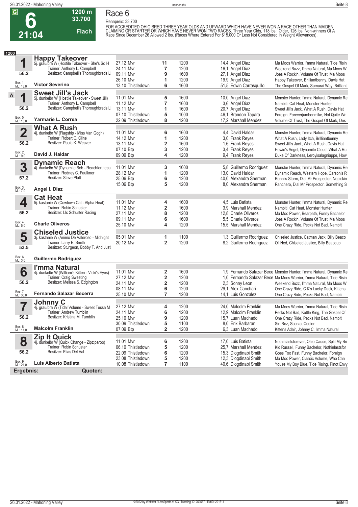

#### **1200 m Race 6 Rennpreis: 33.700**

**33.700 Flach**

FOR ACCREDITED OHIO BRED THREE YEAR OLDS AND UPWARD WHICH HAVE NEVER WON A RACE OTHER THAN MAIDEN.<br>CLAIMING OR STARTER OR WHICH HAVE NEVER WON TWO RACES. Three Year Olds, 118 lbs.; Older, 126 lbs. Non-winners Of A<br>Race Sin

| 1200 |                         |                                                                       |                   |                |      |                         |                                                                      |
|------|-------------------------|-----------------------------------------------------------------------|-------------------|----------------|------|-------------------------|----------------------------------------------------------------------|
|      |                         | <b>Happy Takeover</b>                                                 |                   |                |      |                         |                                                                      |
|      | 1                       | 5j. grau/bra W (Hostile Takeover - She's So H                         | 27.12 Mvr         | 11             | 1200 | 14,4 Angel Diaz         | Ma Moos Warrior, I'mma Natural, Tide Risin                           |
|      |                         | Trainer: Anthony L. Campbell                                          | 24.11 Myr         | 7              | 1200 | 16,1 Angel Diaz         | Weekend Buzz, I'mma Natural, Ma Moos W                               |
|      | 56.2                    | Besitzer: Campbell's Thoroughbreds LI                                 | 09.11 Mvr         | 9              | 1600 | 27,1 Angel Diaz         | Joes A Rockin, Volume Of Trust, Ma Moos                              |
|      |                         |                                                                       | 26.10 Mvr         | 1              | 1200 | 19,9 Angel Diaz         | Happy Takeover, Brilliantbenny, Davis Hat                            |
|      | Box: 1<br>ML: 13,0      | <b>Victor Severino</b>                                                | 13.10 Thistledown | 6              | 1600 | 51,5 Edwin Carrasquillo | The Gospel Of Mark, Samurai Way, Brilliant                           |
|      |                         | <b>Sweet Jill's Jack</b>                                              |                   |                |      |                         |                                                                      |
| A    | 1                       | 5j. dunkelbr W (Hostile Takeover - Sweet Jill)                        | 11.01 Mvr         | 5              | 1600 | 10,0 Angel Diaz         | Monster Hunter, I'mma Natural, Dynamic Re                            |
|      |                         | Trainer: Anthony L. Campbell                                          | 11.12 Mvr         | $\overline{7}$ | 1600 | 3,6 Angel Diaz          | Nambiti, Cat Heat, Monster Hunter                                    |
|      | 56.2                    | Besitzer: Campbell's Thoroughbreds LI                                 | 13.11 Mvr         | 1              | 1600 | 20,7 Angel Diaz         | Sweet Jill's Jack, What A Rush, Davis Hat                            |
|      |                         |                                                                       | 07.10 Thistledown | 5              | 1000 | 46,1 Brandon Tapara     | Foreign, Foreverjumbonmike, Not Quite Wri                            |
|      | Box: 5<br>ML: 13,0      | Yarmarie L. Correa                                                    | 22.09 Thistledown | 8              | 1200 | 17,2 Marshall Mendez    | Volume Of Trust, The Gospel Of Mark, Des                             |
|      |                         | <b>What A Rush</b>                                                    |                   |                |      |                         |                                                                      |
|      | $\overline{\mathbf{2}}$ | 4j. dunkelbr W (Flagship - Miss Van Gogh)                             | 11.01 Mvr         | 6              | 1600 | 4,4 David Haldar        | Monster Hunter, I'mma Natural, Dynamic Re                            |
|      |                         | Trainer: Robert C. Cline                                              | 14.12 Mvr         | 1              | 1200 | 3,0 Frank Reyes         | What A Rush, Lady Itch, Brilliantbenny                               |
|      | 56.2                    | Besitzer: Paula K. Weaver                                             | 13.11 Mvr         | 2              | 1600 | 1,6 Frank Reyes         | Sweet Jill's Jack, What A Rush, Davis Hat                            |
|      |                         |                                                                       | 07.10 Btp         | 3              | 1200 | 3,4 Frank Reyes         | Howie's Angel, Dynamite Cloud, What A Ru                             |
|      | Box: 2<br>ML: 9,0       | David J. Haldar                                                       | 09.09 Btp         | 4              | 1200 | 9,4 Frank Reyes         | Duke Of Darkness, Leroyisalagniappe, Howi                            |
|      |                         |                                                                       |                   |                |      |                         |                                                                      |
|      | 3                       | <b>Dynamic Reach</b><br>4j. dunkelbr W (Dynamite Bob - Reachfortheca  | 11.01 Mvr         | 3              | 1600 | 5,8 Guillermo Rodriguez | Monster Hunter, I'mma Natural, Dynamic Re                            |
|      |                         | Trainer: Rodney C. Faulkner                                           | 28.12 Mvr         | 1              | 1200 | 13,0 David Haldar       | Dynamic Reach, Western Hope, Carson's R                              |
|      | 57.2                    | Besitzer: Steve Platt                                                 | 25.06 Btp         | 6              | 1200 | 40,0 Alexandra Sherman  | Ronni's Storm, Dial Mr Prospector, Nopickin                          |
|      |                         |                                                                       | 15.06 Btp         | 5              | 1200 | 8.0 Alexandra Sherman   | Ranchero, Dial Mr Prospector, Something S                            |
|      | Box: 3<br>ML: 7,0       | Angel I. Diaz                                                         |                   |                |      |                         |                                                                      |
|      |                         |                                                                       |                   |                |      |                         |                                                                      |
|      | 4                       | <b>Cat Heat</b>                                                       | 11.01 Mvr         | 4              | 1600 | 4,5 Luis Batista        | Monster Hunter, I'mma Natural, Dynamic Re                            |
|      |                         | 5j. kastanie W (Cowtown Cat - Alpha Heat)<br>Trainer: Robin Schuster  | 11.12 Mvr         | 2              | 1600 | 3.9 Marshall Mendez     | Nambiti, Cat Heat, Monster Hunter                                    |
|      | 56.2                    | Besitzer: Llc Schuster Racing                                         |                   |                |      |                         |                                                                      |
|      |                         |                                                                       | 27.11 Myr         | 8              | 1200 | 12,8 Charle Oliveros    | Ma Moo Power, Bearpath, Funny Bachelor                               |
|      |                         | <b>Charle Oliveros</b>                                                | 09.11 Mvr         | 6              | 1600 | 5.5 Charle Oliveros     | Joes A Rockin, Volume Of Trust, Ma Moos                              |
|      | Box: 4<br>ML: 5,0       |                                                                       | 25.10 Mvr         | 4              | 1200 | 15,5 Marshall Mendez    | One Crazy Ride, Pecks Not Bad, Nambiti                               |
|      |                         | <b>Chiseled Justice</b>                                               |                   |                |      |                         |                                                                      |
|      | 5                       | 3j. kastanie W (Animo De Valeroso - Midnight                          | 05.01 Mvr         | 1              | 1100 | 1,3 Guillermo Rodriguez | Chiseled Justice, Catman Jack, Billy Beaco                           |
|      |                         | Trainer: Larry E. Smith                                               | 20.12 Mvr         | $\overline{2}$ | 1200 | 8,2 Guillermo Rodriguez | Ol' Ned, Chiseled Justice, Billy Beacoup                             |
|      | 53.5                    | Besitzer: Sturgeon, Bobby T. And Justi                                |                   |                |      |                         |                                                                      |
|      | Box: 6<br>ML: 3,0       | <b>Guillermo Rodriguez</b>                                            |                   |                |      |                         |                                                                      |
|      |                         | I'mma Natural                                                         |                   |                |      |                         |                                                                      |
|      | 6                       | 4j. dunkelbr W (William's Kitten - Vicki's Eyes)                      | 11.01 Mvr         | 2              | 1600 |                         | 1,9 Fernando Salazar Bece Monster Hunter, I'mma Natural, Dynamic Re  |
|      |                         | Trainer: Craig Sweeting                                               | 27.12 Mvr         | 2              | 1200 |                         | 1,0 Fernando Salazar Bece Ma Moos Warrior, I'mma Natural, Tide Risin |
|      | 56.2                    | Besitzer: Melissa S. Edgington                                        | 24.11 Mvr         | 2              | 1200 | 2.3 Sonny Leon          | Weekend Buzz, I'mma Natural, Ma Moos W                               |
|      |                         |                                                                       | 08.11 Mvr         | 6              | 1200 | 29,1 Alex Canchari      | One Crazy Ride, C K's Lucky Duck, Kittens                            |
|      | Box: 7<br>ML: 35,0      | <b>Fernando Salazar Becerra</b>                                       | 25.10 Mvr         | $\overline{7}$ | 1200 | 14,1 Luis Gonzalez      | One Crazy Ride, Pecks Not Bad, Nambiti                               |
|      |                         | Johnny C                                                              |                   |                |      |                         |                                                                      |
|      |                         | 4j. grau/bra W (Tidal Volume - Sweet Tessa M                          | 27.12 Mvr         | 4              | 1200 | 24,0 Malcolm Franklin   | Ma Moos Warrior, I'mma Natural, Tide Risin                           |
|      |                         | <b>Trainer: Andrew Tumblin</b>                                        | 24.11 Mvr         | 6              | 1200 | 12,9 Malcolm Franklin   | Pecks Not Bad, Kettle King, The Gospel Of                            |
|      | 56.2                    | Besitzer: Kristina M. Tumblin                                         | 25.10 Mvr         | 9              | 1200 | 15,7 Luan Machado       | One Crazy Ride, Pecks Not Bad, Nambiti                               |
|      |                         |                                                                       | 30.09 Thistledown | 5              | 1100 | 8,0 Erik Barbaran       | Sir. Rez, Scorza, Cooler                                             |
|      | Box: 8<br>ML: 11,0      | <b>Malcolm Franklin</b>                                               | 07.09 Btp         | 2              | 1200 | 6,3 Luan Machado        | Kittens Adair, Johnny C, I'mma Natural                               |
|      |                         |                                                                       |                   |                |      |                         |                                                                      |
|      | 8                       | <b>Zip It Quick</b>                                                   | 11.01 Mvr         | 6              | 1200 | 17,0 Luis Batista       | Nothinlastsforever, Ohio Cause, Split My Bri                         |
|      |                         | 4j. dunkelbr W (Quick Change - Zipziparoo)<br>Trainer: Robin Schuster | 06.10 Thistledown | 5              | 1200 | 25,7 Marshall Mendez    | Kid Russell, Funny Bachelor, Nothinlastsfor                          |
|      | 56.2                    | Besitzer: Elias Del Val                                               | 22.09 Thistledown | 6              | 1200 | 15,3 Diogdinabi Smith   | Goes Too Fast, Funny Bachelor, Foreign                               |
|      |                         |                                                                       | 23.08 Thistledown | 5              | 1200 | 12,3 Diogdinabi Smith   | Ma Moo Power, Classic Volume, Who Can                                |
|      | Box: 9<br>ML: 21,0      | Luis Alberto Batista                                                  | 10.08 Thistledown | 7              | 1100 | 40,6 Diogdinabi Smith   | You're My Boy Blue, Tide Rising, Pinot Envy                          |
|      | Ergebnis:               | Quoten:                                                               |                   |                |      |                         |                                                                      |
|      |                         |                                                                       |                   |                |      |                         |                                                                      |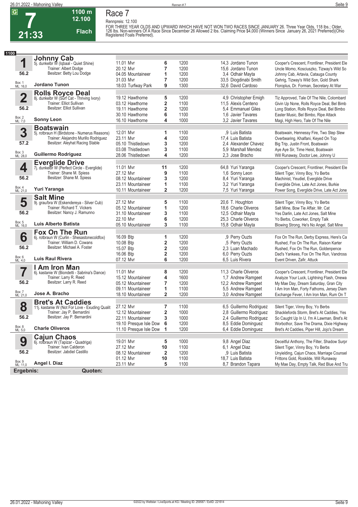

### **Race 7**

**Rennpreis: 12.100**

**12.100** 

**Flach**



FOR THREE YEAR OLDS AND UPWARD WHICH HAVE NOT WON TWO RACES SINCE JANUARY 26. Three Year Olds, 118 lbs.; Older,<br>126 lbs. Non-winners Of A Race Since December 26 Allowed 2 lbs. Claiming Price \$4,000 (Winners Since January 2

| 1100                    |                                                                        |                          |                         |      |                         |                                              |
|-------------------------|------------------------------------------------------------------------|--------------------------|-------------------------|------|-------------------------|----------------------------------------------|
|                         | <b>Johnny Cab</b>                                                      |                          |                         |      |                         |                                              |
| 1                       | 5j. dunkelbr W (Iqbaal - Quiet Shine)                                  | 11.01 Mvr                | 6                       | 1200 | 14,3 Jordano Tunon      | Cooper's Crescent, Frontliner, President Ele |
|                         | Trainer: Albert Dodge                                                  | 20.12 Mvr                | 7                       | 1200 | 15.6 Jordano Tunon      | Uncle Momo, Kosciuszko, Tizway's Wild So     |
| 56.2                    | Besitzer: Betty Lou Dodge                                              | 04.05 Mountaineer        | 1                       | 1200 | 3,4 Odhair Mayta        | Johnny Cab, Artavia, Catauga County          |
|                         |                                                                        | 31.03 Mvr                | 7                       | 1200 | 33,5 Diogdinabi Smith   | Gehrig, Tizway's Wild Son, Gold Shark        |
| Box: 1<br>ML: 16,0      | Jordano Tunon                                                          | 18.03 Turfway Park       | 9                       | 1300 | 32.6 David Cardoso      | Floroplus, Dr. Forman, Secretary At War      |
|                         |                                                                        |                          |                         |      |                         |                                              |
| $\overline{\mathbf{2}}$ | <b>Rolls Royce Deal</b>                                                | 19.12 Hawthorne          | 5                       | 1200 | 4,9 Christopher Emigh   |                                              |
|                         | 8j. dunkelbr W (Surf Cat - Thriving Ivory)<br>Trainer: Elliot Sullivan |                          |                         |      |                         | Tiz Approved, Tale Of The Nile, Colombard    |
| 56.2                    | Besitzer: Elliot Sullivan                                              | 03.12 Hawthorne          | 2                       | 1100 | 11,5 Alexis Centeno     | Givin Up None, Rolls Royce Deal, Bel Bimb    |
|                         |                                                                        | 19.11 Hawthorne          | 2                       | 1200 | 5,4 Emmanuel Giles      | Long Station, Rolls Royce Deal, Bel Bimbo    |
| Box: 2<br>ML: 7,0       | <b>Sonny Leon</b>                                                      | 30.10 Hawthorne          | 6                       | 1100 | 1.6 Javier Tavares      | Easter Music, Bel Bimbo, Ripe Attack         |
|                         |                                                                        | 16.10 Hawthorne          | 4                       | 1000 | 3.2 Javier Tavares      | Magi, High Hero, Tale Of The Nile            |
|                         | <b>Boatswain</b>                                                       |                          |                         |      |                         |                                              |
| 3                       | 5j. rotbraun H (Birdstone - Numerus Reasons)                           | 12.01 Mvr                | 1                       | 1100 | .9 Luis Batista         | Boatswain, Hennessy Fire, Two Step Slew      |
|                         | Trainer: Alejandro Murillo Rodriguez                                   | 23.11 Mvr                | 4                       | 1200 | 17,4 Luis Batista       | Overbearing, Khalfani, Keyed On Top          |
| 57.2                    | Besitzer: Aleyhat Racing Stable                                        | 05.10 Thistledown        | 3                       | 1200 | 2.4 Alexander Chavez    | Big Trip, Justin Front, Boatswain            |
|                         |                                                                        | 03.08 Thistledown        | 3                       | 1100 | 5.9 Marshall Mendez     | Aye Aye Sir, Time Heist, Boatswain           |
| Box: 3<br>ML: 28,0      | <b>Guillermo Rodriguez</b>                                             | 28.06 Thistledown        | 4                       | 1200 | 2.3 Jose Bracho         | Will Runaway, Doctor Lee, Johnny U           |
|                         | <b>Everglide Drive</b>                                                 |                          |                         |      |                         |                                              |
| 4                       | 7j. dunkelbr W (Perfect Circle - Everglide)                            | 11.01 Mvr                | 11                      | 1200 | 64,8 Yuri Yaranga       | Cooper's Crescent, Frontliner, President Ele |
|                         | Trainer: Shane M. Spiess                                               | 27.12 Mvr                | 9                       | 1100 | 1,6 Sonny Leon          | Silent Tiger, Vinny Boy, Yo Berbs            |
| 56.2                    | Besitzer: Shane M. Spiess                                              | 08.12 Mountaineer        | 3                       | 1200 | 8,4 Yuri Yaranga        | Machinist, Yeudiel, Everglide Drive          |
|                         |                                                                        | 23.11 Mountaineer        | 1                       | 1100 | 3.2 Yuri Yaranga        | Everglide Drive, Late Act Jones, Burkie      |
| Box: 4<br>ML: 21,0      | Yuri Yaranga                                                           | 10.11 Mountaineer        | $\overline{\mathbf{2}}$ | 1200 | 7,5 Yuri Yaranga        | Power Song, Everglide Drive, Late Act Jone   |
|                         | <b>Salt Mine</b>                                                       |                          |                         |      |                         |                                              |
| 5                       | 9j. grau/bra W (Eskendereya - Silver Cub)                              | 27.12 Mvr                | 5                       | 1100 | 20,6 T. Houghton        | Silent Tiger, Vinny Boy, Yo Berbs            |
|                         | Trainer: Richard T. Vickers                                            | 05.12 Mountaineer        | 1                       | 1200 | 18,6 Charle Oliveros    | Salt Mine, Bow Tie Affair, Mr. Cat           |
| 56.2                    | Besitzer: Nancy J. Ramunno                                             |                          |                         | 1100 |                         |                                              |
|                         |                                                                        | 31.10 Mountaineer        | 3                       |      | 12,5 Odhair Mayta       | Yes Darlin, Late Act Jones, Salt Mine        |
| Box: 5<br>ML: 16,0      | Luis Alberto Batista                                                   | 22.10 Mvr                | 6                       | 1200 | 25,3 Charle Oliveros    | Yo Berbs, Coworker, Empty Talk               |
|                         |                                                                        | 05.10 Mountaineer        | 3                       | 1100 | 15,8 Odhair Mayta       | Blowing Strong, He's No Angel, Salt Mine     |
|                         | <b>Fox On The Run</b>                                                  |                          |                         |      |                         |                                              |
| 6                       | 6j. rotbraun W (Curlin - Shesastonecoldfox)                            | 16.09 Btp                | 1                       | 1200 | ,9 Perry Ouzts          | Fox On The Run, Derby Express, Here's Ca     |
|                         | Trainer: William D. Cowans                                             | 10.08 Btp                | 2                       | 1200 | .5 Perry Ouzts          | Rushed, Fox On The Run, Raison Karter        |
| 56.2                    | Besitzer: Michael A. Foster                                            | 15.07 Btp                | 2                       | 1200 | 2,3 Luan Machado        | Rushed, Fox On The Run, Goldenpence          |
|                         |                                                                        | 16.06 Btp                | $\overline{\mathbf{2}}$ | 1200 | 6,0 Perry Ouzts         | Dad's Yankees, Fox On The Run, Vandross      |
| Box: 6<br>ML: 4,0       | Luis Raul Rivera                                                       | 07.12 Mvr                | 6                       | 1200 | 6.5 Luis Rivera         | Event Driven, Zafir, Attuck                  |
|                         | I Am Iron Man                                                          |                          |                         |      |                         |                                              |
| 7                       | 6j. kastanie W (Biondetti - Sabrina's Dance)                           | 11.01 Mvr                | 8                       | 1200 | 11,3 Charle Oliveros    | Cooper's Crescent, Frontliner, President Ele |
|                         | Trainer: Larry R. Reed                                                 | 15.12 Mountaineer        | 4                       | 1600 | 1,7 Andrew Ramgeet      | Analyze Your Luck, Lightning Flash, Onewa    |
| 56.2                    | Besitzer: Larry R. Reed                                                | 05.12 Mountaineer        | $\overline{7}$          | 1200 | 12,2 Andrew Ramgeet     | My Mae Day, Dream Saturday, Gran City        |
|                         |                                                                        | 09.11 Mountaineer        | 1                       | 1100 | 5,5 Andrew Ramgeet      | I Am Iron Man, Forty Fathoms, Jersey Diam    |
| Box: 7<br>ML: 21,0      | Jose A. Bracho                                                         | 18.10 Mountaineer        | $\overline{\mathbf{2}}$ | 1200 | 3,0 Andrew Ramgeet      | Exchange Fever, I Am Iron Man, Rum On T      |
|                         | <b>Bret's At Caddies</b>                                               |                          |                         |      |                         |                                              |
| 8                       | 11j. kastanie W (Not For Love - Exuding Qualit                         | 27.12 Mvr                | 7                       | 1100 | 6,5 Guillermo Rodriguez | Silent Tiger, Vinny Boy, Yo Berbs            |
|                         | Trainer: Jay P. Bernardini                                             | 12.12 Mountaineer        | $\overline{\mathbf{2}}$ | 1000 | 2,8 Guillermo Rodriguez | Shacklefords Storm, Bret's At Caddies, Yes   |
| 56.2                    | Besitzer: Jay P. Bernardini                                            | 22.11 Mountaineer        | 3                       | 1000 | 2,4 Guillermo Rodriguez | So Caught Up In U, I'm A Lawman, Bret's At   |
|                         |                                                                        | 19.10 Presque Isle Dow 6 |                         | 1200 | 8,5 Eddie Dominguez     | Worbothor, Save The Drama, Dixie Highway     |
| Box: 8<br>ML: 5,0       | <b>Charle Oliveros</b>                                                 | 11.10 Presque Isle Dow 1 |                         | 1200 | 6,4 Eddie Dominguez     | Bret's At Caddies, Piper Hill, Jojo's Dream  |
|                         | <b>Cajun Chaos</b>                                                     |                          |                         |      |                         |                                              |
| 9                       | 6j. rotbraun W (Tapizar - Quadriga)                                    | 19.01 Mvr                | 5                       | 1000 | 9,8 Angel Diaz          | Deceitful Anthony, The Filter, Shadow Surpr  |
|                         | Trainer: Ivan Calderon                                                 | 27.12 Mvr                | 10                      | 1100 | 6,1 Angel Diaz          | Silent Tiger, Vinny Boy, Yo Berbs            |
| 56.2                    | Besitzer: Jabdiel Castillo                                             | 08.12 Mountaineer        | 2                       | 1200 | ,9 Luis Batista         | Unyielding, Cajun Chaos, Marriage Counsel    |
|                         |                                                                        | 01.12 Mvr                | 10                      | 1100 | 18,7 Luis Batista       | Frittons Gold, Roskilde, Will Runaway        |
| Box: 9<br>ML: 11,0      | Angel I. Diaz                                                          | 23.11 Mvr                | 5                       | 1100 | 8,7 Brandon Tapara      | My Mae Day, Empty Talk, Red Blue And Tru     |
|                         |                                                                        |                          |                         |      |                         |                                              |
| Ergebnis:               | <b>Quoten:</b>                                                         |                          |                         |      |                         |                                              |